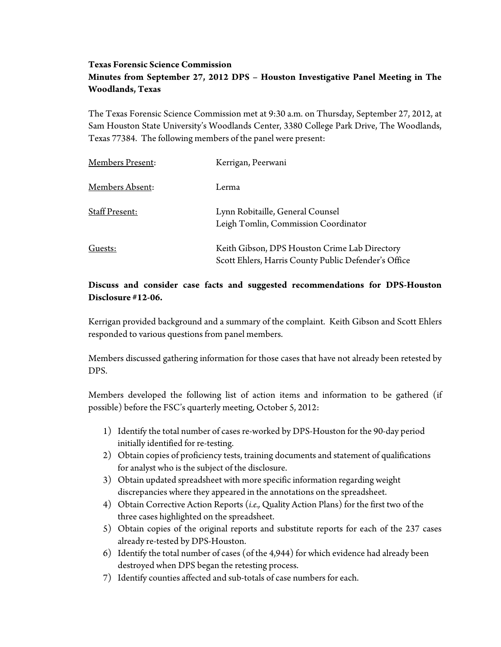## **Texas Forensic Science Commission Minutes from September 27, 2012 DPS – Houston Investigative Panel Meeting in The Woodlands, Texas**

The Texas Forensic Science Commission met at 9:30 a.m. on Thursday, September 27, 2012, at Sam Houston State University's Woodlands Center, 3380 College Park Drive, The Woodlands, Texas 77384. The following members of the panel were present:

| Members Present: | Kerrigan, Peerwani                                                                                    |
|------------------|-------------------------------------------------------------------------------------------------------|
| Members Absent:  | Lerma                                                                                                 |
| Staff Present:   | Lynn Robitaille, General Counsel<br>Leigh Tomlin, Commission Coordinator                              |
| Guests:          | Keith Gibson, DPS Houston Crime Lab Directory<br>Scott Ehlers, Harris County Public Defender's Office |

## **Discuss and consider case facts and suggested recommendations for DPS-Houston Disclosure #12-06.**

Kerrigan provided background and a summary of the complaint. Keith Gibson and Scott Ehlers responded to various questions from panel members.

Members discussed gathering information for those cases that have not already been retested by DPS.

Members developed the following list of action items and information to be gathered (if possible) before the FSC's quarterly meeting, October 5, 2012:

- 1) Identify the total number of cases re-worked by DPS-Houston for the 90-day period initially identified for re-testing.
- 2) Obtain copies of proficiency tests, training documents and statement of qualifications for analyst who is the subject of the disclosure.
- 3) Obtain updated spreadsheet with more specific information regarding weight discrepancies where they appeared in the annotations on the spreadsheet.
- 4) Obtain Corrective Action Reports (*i.e.,* Quality Action Plans) for the first two of the three cases highlighted on the spreadsheet.
- 5) Obtain copies of the original reports and substitute reports for each of the 237 cases already re-tested by DPS-Houston.
- 6) Identify the total number of cases (of the 4,944) for which evidence had already been destroyed when DPS began the retesting process.
- 7) Identify counties affected and sub-totals of case numbers for each.